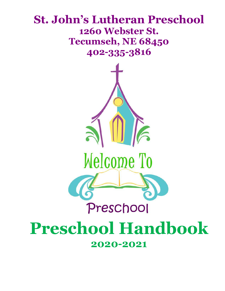### **St. John's Lutheran Preschool 1260 Webster St. Tecumseh, NE 68450 402-335-3816**



## **Preschool Handbook 2020-2021**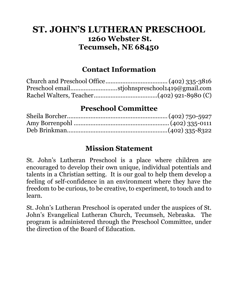#### **ST. JOHN'S LUTHERAN PRESCHOOL 1260 Webster St. Tecumseh, NE 68450**

#### **Contact Information**

| Preschool emailstjohnspreschool1419@gmail.com |
|-----------------------------------------------|
|                                               |

#### **Preschool Committee**

#### **Mission Statement**

St. John's Lutheran Preschool is a place where children are encouraged to develop their own unique, individual potentials and talents in a Christian setting. It is our goal to help them develop a feeling of self-confidence in an environment where they have the freedom to be curious, to be creative, to experiment, to touch and to learn.

St. John's Lutheran Preschool is operated under the auspices of St. John's Evangelical Lutheran Church, Tecumseh, Nebraska. The program is administered through the Preschool Committee, under the direction of the Board of Education.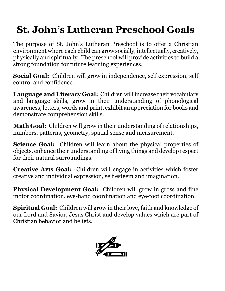## **St. John's Lutheran Preschool Goals**

The purpose of St. John's Lutheran Preschool is to offer a Christian environment where each child can grow socially, intellectually, creatively, physically and spiritually. The preschool will provide activities to build a strong foundation for future learning experiences.

**Social Goal:** Children will grow in independence, self expression, self control and confidence.

**Language and Literacy Goal:** Children will increase their vocabulary and language skills, grow in their understanding of phonological awareness, letters, words and print, exhibit an appreciation for books and demonstrate comprehension skills.

**Math Goal:** Children will grow in their understanding of relationships, numbers, patterns, geometry, spatial sense and measurement.

**Science Goal:** Children will learn about the physical properties of objects, enhance their understanding of living things and develop respect for their natural surroundings.

**Creative Arts Goal:** Children will engage in activities which foster creative and individual expression, self esteem and imagination.

**Physical Development Goal:** Children will grow in gross and fine motor coordination, eye-hand coordination and eye-foot coordination.

**Spiritual Goal:** Children will grow in their love, faith and knowledge of our Lord and Savior, Jesus Christ and develop values which are part of Christian behavior and beliefs.

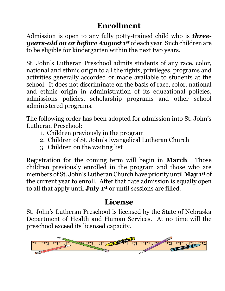#### **Enrollment**

Admission is open to any fully potty-trained child who is *threeyears-old on or before August 1 st* of each year. Such children are to be eligible for kindergarten within the next two years.

St. John's Lutheran Preschool admits students of any race, color, national and ethnic origin to all the rights, privileges, programs and activities generally accorded or made available to students at the school. It does not discriminate on the basis of race, color, national and ethnic origin in administration of its educational policies, admissions policies, scholarship programs and other school administered programs.

The following order has been adopted for admission into St. John's Lutheran Preschool:

- 1. Children previously in the program
- 2. Children of St. John's Evangelical Lutheran Church
- 3. Children on the waiting list

Registration for the coming term will begin in **March**. Those children previously enrolled in the program and those who are members of St. John's Lutheran Church have priority until **May 1st** of the current year to enroll. After that date admission is equally open to all that apply until **July 1st** or until sessions are filled.

#### **License**

St. John's Lutheran Preschool is licensed by the State of Nebraska Department of Health and Human Services. At no time will the preschool exceed its licensed capacity.

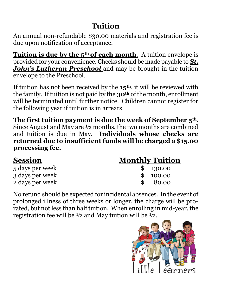#### **Tuition**

An annual non-refundable \$30.00 materials and registration fee is due upon notification of acceptance.

**Tuition is due by the 5<sup>th</sup> of each month**. A tuition envelope is provided for your convenience. Checks should be made payable to *St. John's Lutheran Preschool* and may be brought in the tuition envelope to the Preschool.

If tuition has not been received by the **15th**, it will be reviewed with the family. If tuition is not paid by the **30th** of the month, enrollment will be terminated until further notice. Children cannot register for the following year if tuition is in arrears.

**The first tuition payment is due the week of September 5th**. Since August and May are ½ months, the two months are combined and tuition is due in May. **Individuals whose checks are returned due to insufficient funds will be charged a \$15.00 processing fee.**

| <b>Session</b>  | <b>Monthly Tuition</b> |
|-----------------|------------------------|
| 5 days per week | \$130.00               |
| 3 days per week | \$100.00               |
| 2 days per week | 80.00<br>$\mathbf{s}$  |

No refund should be expected for incidental absences. In the event of prolonged illness of three weeks or longer, the charge will be prorated, but not less than half tuition. When enrolling in mid-year, the registration fee will be ½ and May tuition will be ½.

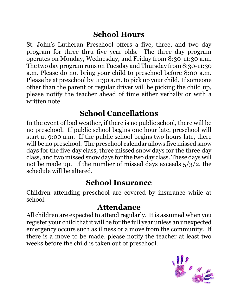#### **School Hours**

St. John's Lutheran Preschool offers a five, three, and two day program for three thru five year olds. The three day program operates on Monday, Wednesday, and Friday from 8:30-11:30 a.m. The two day program runs on Tuesday and Thursday from 8:30-11:30 a.m. Please do not bring your child to preschool before 8:00 a.m. Please be at preschool by 11:30 a.m. to pick up your child. If someone other than the parent or regular driver will be picking the child up, please notify the teacher ahead of time either verbally or with a written note.

#### **School Cancellations**

In the event of bad weather, if there is no public school, there will be no preschool. If public school begins one hour late, preschool will start at 9:00 a.m. If the public school begins two hours late, there will be no preschool. The preschool calendar allows five missed snow days for the five day class, three missed snow days for the three day class, and two missed snow days for the two day class. These days will not be made up. If the number of missed days exceeds 5/3/2, the schedule will be altered.

#### **School Insurance**

Children attending preschool are covered by insurance while at school.

#### **Attendance**

All children are expected to attend regularly. It is assumed when you register your child that it will be for the full year unless an unexpected emergency occurs such as illness or a move from the community. If there is a move to be made, please notify the teacher at least two weeks before the child is taken out of preschool.

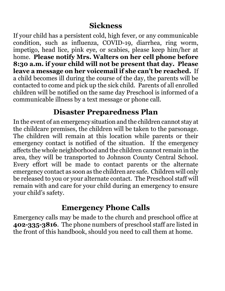#### **Sickness**

If your child has a persistent cold, high fever, or any communicable condition, such as influenza, COVID-19, diarrhea, ring worm, impetigo, head lice, pink eye, or scabies, please keep him/her at home. **Please notify Mrs. Walters on her cell phone before 8:30 a.m. if your child will not be present that day. Please leave a message on her voicemail if she can't be reached.** If a child becomes ill during the course of the day, the parents will be contacted to come and pick up the sick child. Parents of all enrolled children will be notified on the same day Preschool is informed of a communicable illness by a text message or phone call.

#### **Disaster Preparedness Plan**

In the event of an emergency situation and the children cannot stay at the childcare premises, the children will be taken to the parsonage. The children will remain at this location while parents or their emergency contact is notified of the situation. If the emergency affects the whole neighborhood and the children cannot remain in the area, they will be transported to Johnson County Central School. Every effort will be made to contact parents or the alternate emergency contact as soon as the children are safe. Children will only be released to you or your alternate contact. The Preschool staff will remain with and care for your child during an emergency to ensure your child's safety.

#### **Emergency Phone Calls**

Emergency calls may be made to the church and preschool office at **402-335-3816**. The phone numbers of preschool staff are listed in the front of this handbook, should you need to call them at home.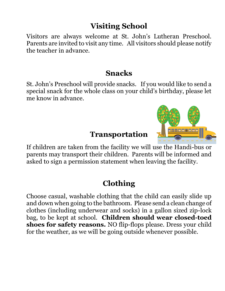#### **Visiting School**

Visitors are always welcome at St. John's Lutheran Preschool. Parents are invited to visit any time. All visitors should please notify the teacher in advance.

#### **Snacks**

St. John's Preschool will provide snacks. If you would like to send a special snack for the whole class on your child's birthday, please let me know in advance.

#### **Transportation**

If children are taken from the facility we will use the Handi-bus or parents may transport their children. Parents will be informed and asked to sign a permission statement when leaving the facility.

#### **Clothing**

Choose casual, washable clothing that the child can easily slide up and down when going to the bathroom. Please send a clean change of clothes (including underwear and socks) in a gallon sized zip-lock bag, to be kept at school. **Children should wear closed-toed shoes for safety reasons.** NO flip-flops please. Dress your child for the weather, as we will be going outside whenever possible.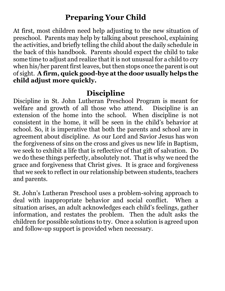#### **Preparing Your Child**

At first, most children need help adjusting to the new situation of preschool. Parents may help by talking about preschool, explaining the activities, and briefly telling the child about the daily schedule in the back of this handbook. Parents should expect the child to take some time to adjust and realize that it is not unusual for a child to cry when his/her parent first leaves, but then stops once the parent is out of sight. **A firm, quick good-bye at the door usually helps the child adjust more quickly.**

#### **Discipline**

Discipline in St. John Lutheran Preschool Program is meant for welfare and growth of all those who attend. Discipline is an extension of the home into the school. When discipline is not consistent in the home, it will be seen in the child's behavior at school. So, it is imperative that both the parents and school are in agreement about discipline. As our Lord and Savior Jesus has won the forgiveness of sins on the cross and gives us new life in Baptism, we seek to exhibit a life that is reflective of that gift of salvation. Do we do these things perfectly, absolutely not. That is why we need the grace and forgiveness that Christ gives. It is grace and forgiveness that we seek to reflect in our relationship between students, teachers and parents.

St. John's Lutheran Preschool uses a problem-solving approach to deal with inappropriate behavior and social conflict. When a situation arises, an adult acknowledges each child's feelings, gather information, and restates the problem. Then the adult asks the children for possible solutions to try. Once a solution is agreed upon and follow-up support is provided when necessary.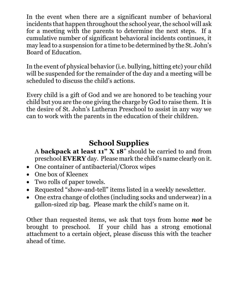In the event when there are a significant number of behavioral incidents that happen throughout the school year, the school will ask for a meeting with the parents to determine the next steps. If a cumulative number of significant behavioral incidents continues, it may lead to a suspension for a time to be determined by the St. John's Board of Education.

In the event of physical behavior (i.e. bullying, hitting etc) your child will be suspended for the remainder of the day and a meeting will be scheduled to discuss the child's actions.

Every child is a gift of God and we are honored to be teaching your child but you are the one giving the charge by God to raise them. It is the desire of St. John's Lutheran Preschool to assist in any way we can to work with the parents in the education of their children.

#### **School Supplies**

A **backpack at least 11" X 18**" should be carried to and from preschool **EVERY** day. Please mark the child's name clearly on it.

- One container of antibacterial/Clorox wipes
- One box of Kleenex
- Two rolls of paper towels.
- Requested "show-and-tell" items listed in a weekly newsletter.
- One extra change of clothes (including socks and underwear) in a gallon-sized zip bag. Please mark the child's name on it.

Other than requested items, we ask that toys from home *not* be brought to preschool. If your child has a strong emotional attachment to a certain object, please discuss this with the teacher ahead of time.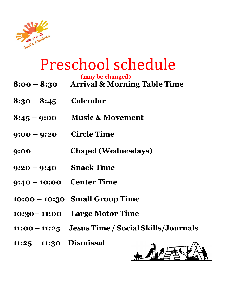

# Preschool schedule

**(may be changed)**

|                            | (may be enangea)<br>8:00 – 8:30 Arrival & Morning Table Time |
|----------------------------|--------------------------------------------------------------|
| $8:30 - 8:45$ Calendar     |                                                              |
| $8:45 - 9:00$              | <b>Music &amp; Movement</b>                                  |
| $9:00 - 9:20$ Circle Time  |                                                              |
| 9:00                       | <b>Chapel (Wednesdays)</b>                                   |
| $9:20 - 9:40$ Snack Time   |                                                              |
| $9:40 - 10:00$ Center Time |                                                              |
|                            | $10:00 - 10:30$ Small Group Time                             |
|                            | 10:30 - 11:00 Large Motor Time                               |
|                            | 11:00 - 11:25 Jesus Time / Social Skills / Journals          |
| $11:25 - 11:30$ Dismissal  | $\blacksquare$                                               |

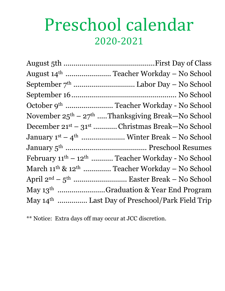# Preschool calendar 2020-2021

| November $25^{th} - 27^{th}$ Thanksgiving Break—No School                   |
|-----------------------------------------------------------------------------|
| December 21 <sup>st</sup> – 31 <sup>st</sup> ………… Christmas Break—No School |
| January 1 <sup>st</sup> – 4 <sup>th</sup> …………………… Winter Break – No School |
|                                                                             |
| February 11 <sup>th</sup> - 12 <sup>th</sup> Teacher Workday - No School    |
| March $11^{th}$ & $12^{th}$ Teacher Workday – No School                     |
|                                                                             |
| May 13 <sup>th</sup> Graduation & Year End Program                          |
| May 14 <sup>th</sup> Last Day of Preschool/Park Field Trip                  |

\*\* Notice: Extra days off may occur at JCC discretion.